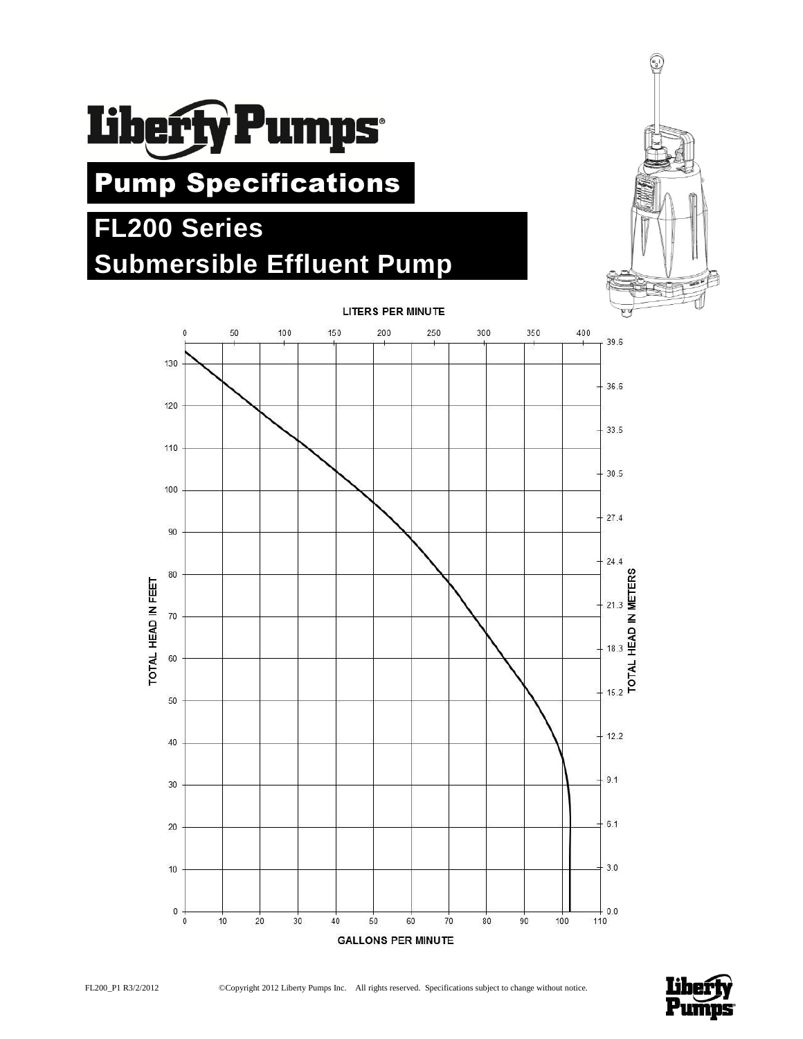

# Pump Specifications

## **FL200 Series Submersible Effluent Pump**





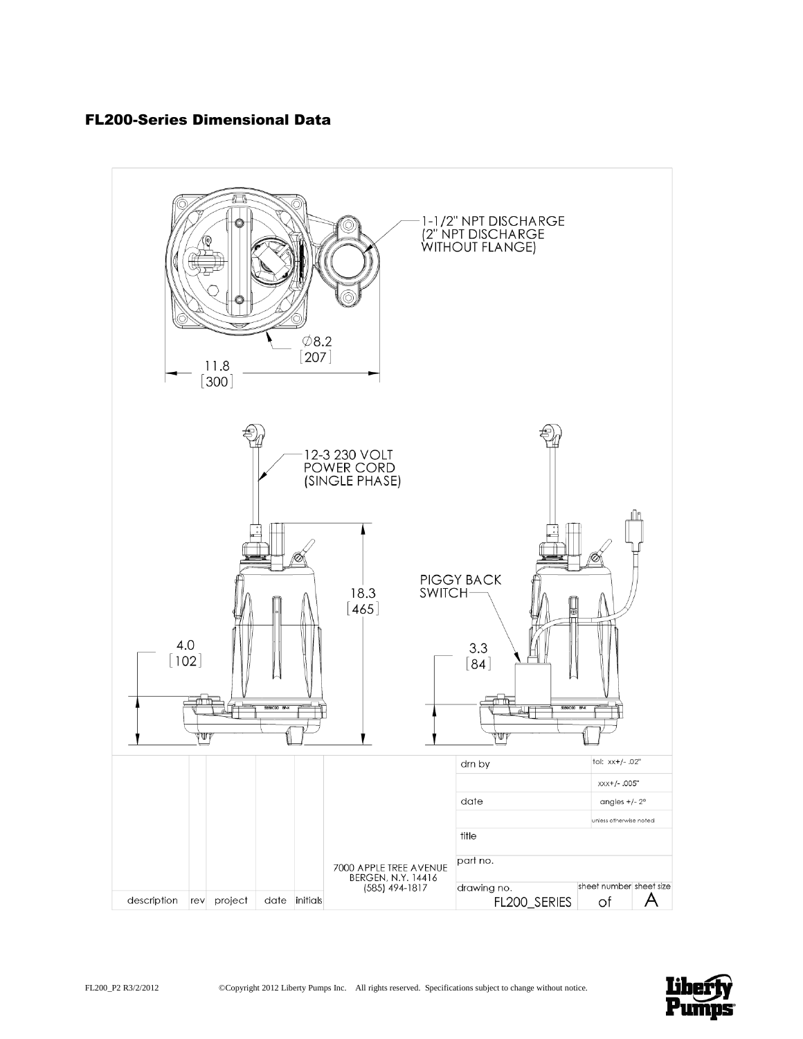## FL200-Series Dimensional Data



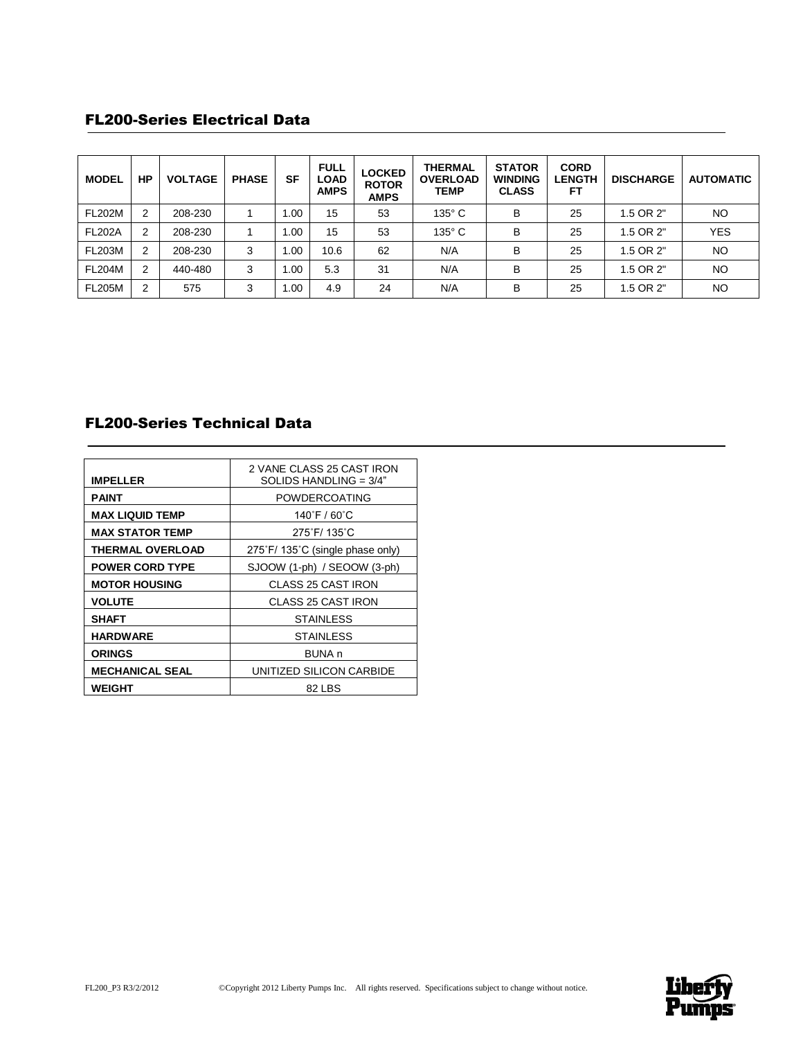## FL200-Series Electrical Data

| <b>MODEL</b>  | НP | <b>VOLTAGE</b> | <b>PHASE</b> | SF   | <b>FULL</b><br><b>LOAD</b><br><b>AMPS</b> | <b>LOCKED</b><br><b>ROTOR</b><br><b>AMPS</b> | <b>THERMAL</b><br><b>OVERLOAD</b><br><b>TEMP</b> | <b>STATOR</b><br><b>WINDING</b><br><b>CLASS</b> | <b>CORD</b><br><b>LENGTH</b><br>FΤ | <b>DISCHARGE</b> | <b>AUTOMATIC</b> |
|---------------|----|----------------|--------------|------|-------------------------------------------|----------------------------------------------|--------------------------------------------------|-------------------------------------------------|------------------------------------|------------------|------------------|
| <b>FL202M</b> | 2  | 208-230        |              | 1.00 | 15                                        | 53                                           | $135^\circ$ C                                    | В                                               | 25                                 | 1.5 OR 2"        | <b>NO</b>        |
| <b>FL202A</b> | 2  | 208-230        |              | 1.00 | 15                                        | 53                                           | $135^\circ$ C                                    | В                                               | 25                                 | 1.5 OR 2"        | <b>YES</b>       |
| <b>FL203M</b> | 2  | 208-230        | 3            | 1.00 | 10.6                                      | 62                                           | N/A                                              | В                                               | 25                                 | 1.5 OR 2"        | <b>NO</b>        |
| <b>FL204M</b> | 2  | 440-480        | 3            | 1.00 | 5.3                                       | 31                                           | N/A                                              | в                                               | 25                                 | 1.5 OR 2"        | <b>NO</b>        |
| <b>FL205M</b> | 2  | 575            | 3            | 1.00 | 4.9                                       | 24                                           | N/A                                              | B                                               | 25                                 | 1.5 OR 2"        | <b>NO</b>        |

## FL200-Series Technical Data

| <b>IMPELLER</b>         | 2 VANE CLASS 25 CAST IRON<br>SOLIDS HANDLING = $3/4"$ |  |  |
|-------------------------|-------------------------------------------------------|--|--|
| PAINT                   | POWDERCOATING                                         |  |  |
| <b>MAX LIQUID TEMP</b>  | 140°F / 60°C                                          |  |  |
| <b>MAX STATOR TEMP</b>  | 275°F/135°C                                           |  |  |
| <b>THERMAL OVERLOAD</b> | 275°F/135°C (single phase only)                       |  |  |
| <b>POWER CORD TYPE</b>  | SJOOW (1-ph) / SEOOW (3-ph)                           |  |  |
| <b>MOTOR HOUSING</b>    | <b>CLASS 25 CAST IRON</b>                             |  |  |
| <b>VOLUTE</b>           | <b>CLASS 25 CAST IRON</b>                             |  |  |
| SHAFT                   | STAINLESS                                             |  |  |
| <b>HARDWARE</b>         | <b>STAINLESS</b>                                      |  |  |
| <b>ORINGS</b>           | BUNA <sub>n</sub>                                     |  |  |
| <b>MECHANICAL SEAL</b>  | UNITIZED SILICON CARBIDE                              |  |  |
| <b>WEIGHT</b>           | 82 LBS                                                |  |  |

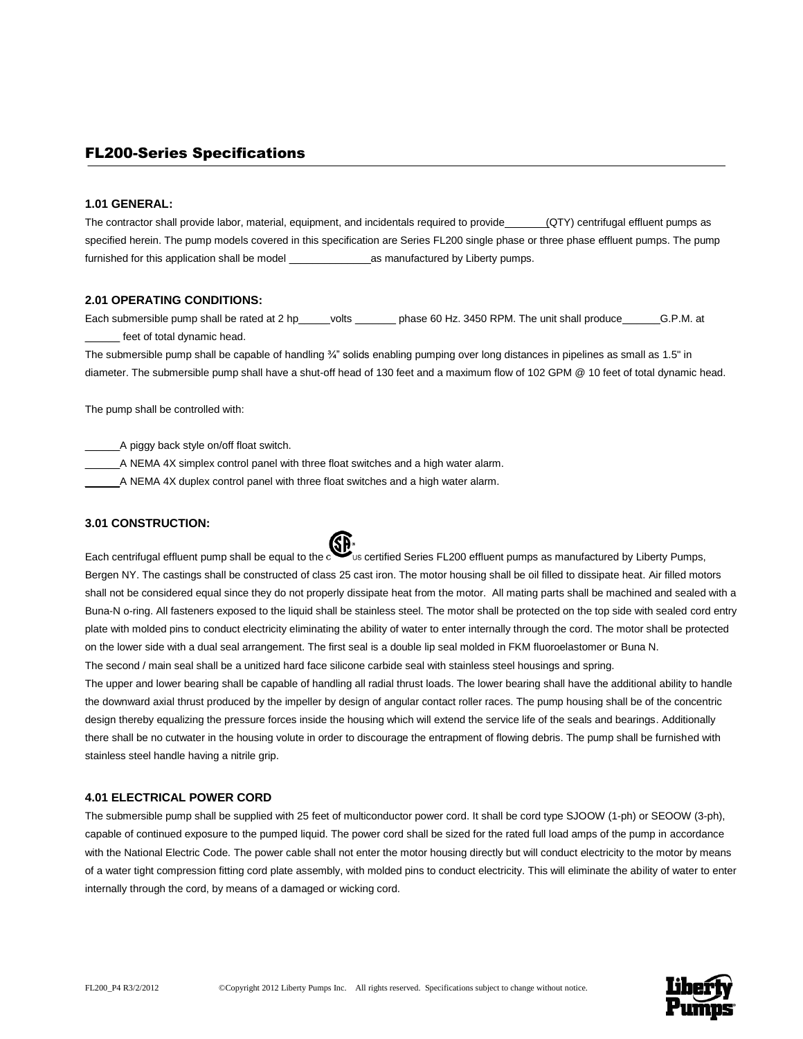### FL200-Series Specifications

#### **1.01 GENERAL:**

The contractor shall provide labor, material, equipment, and incidentals required to provide (QTY) centrifugal effluent pumps as specified herein. The pump models covered in this specification are Series FL200 single phase or three phase effluent pumps. The pump furnished for this application shall be model \_\_\_\_\_\_\_\_\_\_\_\_\_\_as manufactured by Liberty pumps.

#### **2.01 OPERATING CONDITIONS:**

Each submersible pump shall be rated at 2 hp\_\_\_\_\_volts \_\_\_\_\_\_\_ phase 60 Hz. 3450 RPM. The unit shall produce \_\_\_\_\_\_G.P.M. at feet of total dynamic head.

The submersible pump shall be capable of handling ¾" solids enabling pumping over long distances in pipelines as small as 1.5" in diameter. The submersible pump shall have a shut-off head of 130 feet and a maximum flow of 102 GPM @ 10 feet of total dynamic head.

The pump shall be controlled with:

\_\_\_\_\_\_A piggy back style on/off float switch.

\_\_\_\_\_\_A NEMA 4X simplex control panel with three float switches and a high water alarm.

A NEMA 4X duplex control panel with three float switches and a high water alarm.

#### **3.01 CONSTRUCTION:**



The upper and lower bearing shall be capable of handling all radial thrust loads. The lower bearing shall have the additional ability to handle the downward axial thrust produced by the impeller by design of angular contact roller races. The pump housing shall be of the concentric design thereby equalizing the pressure forces inside the housing which will extend the service life of the seals and bearings. Additionally there shall be no cutwater in the housing volute in order to discourage the entrapment of flowing debris. The pump shall be furnished with stainless steel handle having a nitrile grip.

#### **4.01 ELECTRICAL POWER CORD**

The submersible pump shall be supplied with 25 feet of multiconductor power cord. It shall be cord type SJOOW (1-ph) or SEOOW (3-ph), capable of continued exposure to the pumped liquid. The power cord shall be sized for the rated full load amps of the pump in accordance with the National Electric Code. The power cable shall not enter the motor housing directly but will conduct electricity to the motor by means of a water tight compression fitting cord plate assembly, with molded pins to conduct electricity. This will eliminate the ability of water to enter internally through the cord, by means of a damaged or wicking cord.

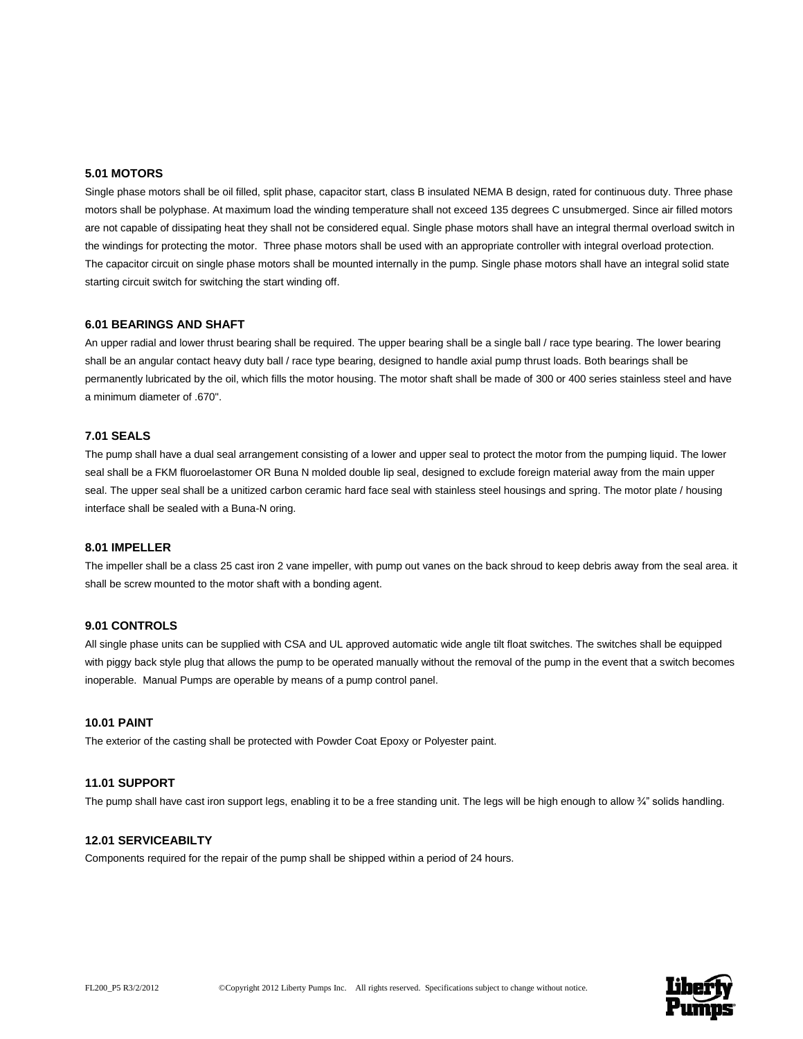#### **5.01 MOTORS**

Single phase motors shall be oil filled, split phase, capacitor start, class B insulated NEMA B design, rated for continuous duty. Three phase motors shall be polyphase. At maximum load the winding temperature shall not exceed 135 degrees C unsubmerged. Since air filled motors are not capable of dissipating heat they shall not be considered equal. Single phase motors shall have an integral thermal overload switch in the windings for protecting the motor. Three phase motors shall be used with an appropriate controller with integral overload protection. The capacitor circuit on single phase motors shall be mounted internally in the pump. Single phase motors shall have an integral solid state starting circuit switch for switching the start winding off.

#### **6.01 BEARINGS AND SHAFT**

An upper radial and lower thrust bearing shall be required. The upper bearing shall be a single ball / race type bearing. The lower bearing shall be an angular contact heavy duty ball / race type bearing, designed to handle axial pump thrust loads. Both bearings shall be permanently lubricated by the oil, which fills the motor housing. The motor shaft shall be made of 300 or 400 series stainless steel and have a minimum diameter of .670".

#### **7.01 SEALS**

The pump shall have a dual seal arrangement consisting of a lower and upper seal to protect the motor from the pumping liquid. The lower seal shall be a FKM fluoroelastomer OR Buna N molded double lip seal, designed to exclude foreign material away from the main upper seal. The upper seal shall be a unitized carbon ceramic hard face seal with stainless steel housings and spring. The motor plate / housing interface shall be sealed with a Buna-N oring.

#### **8.01 IMPELLER**

The impeller shall be a class 25 cast iron 2 vane impeller, with pump out vanes on the back shroud to keep debris away from the seal area. it shall be screw mounted to the motor shaft with a bonding agent.

#### **9.01 CONTROLS**

All single phase units can be supplied with CSA and UL approved automatic wide angle tilt float switches. The switches shall be equipped with piggy back style plug that allows the pump to be operated manually without the removal of the pump in the event that a switch becomes inoperable. Manual Pumps are operable by means of a pump control panel.

#### **10.01 PAINT**

The exterior of the casting shall be protected with Powder Coat Epoxy or Polyester paint.

#### **11.01 SUPPORT**

The pump shall have cast iron support legs, enabling it to be a free standing unit. The legs will be high enough to allow 3/4" solids handling.

#### **12.01 SERVICEABILTY**

Components required for the repair of the pump shall be shipped within a period of 24 hours.